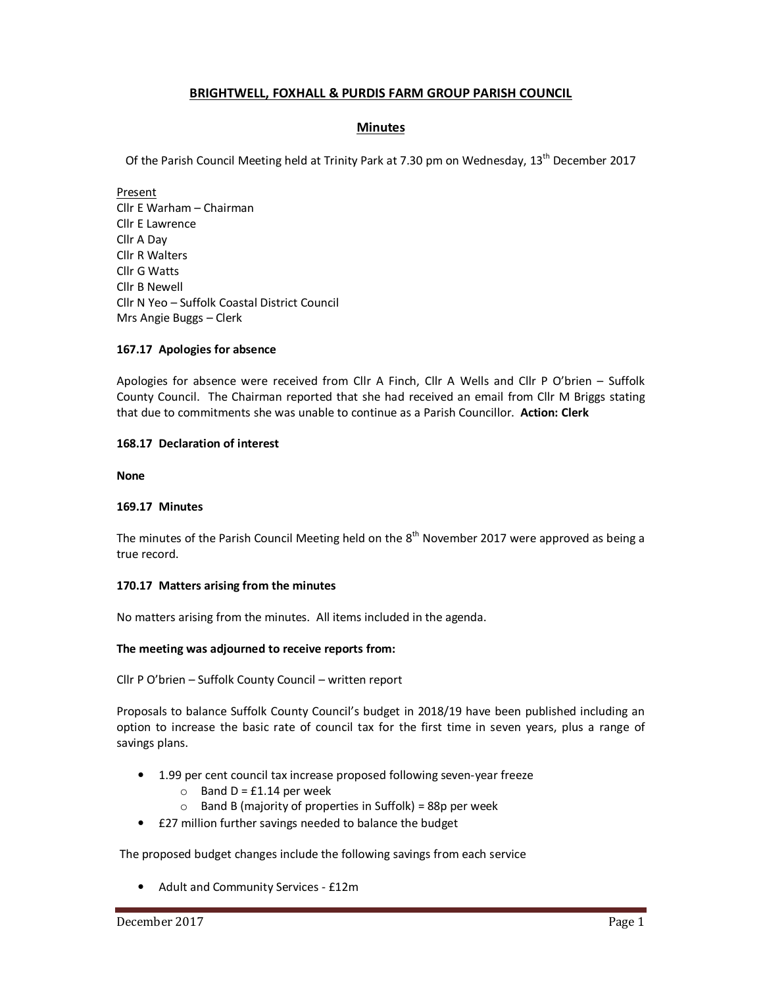# **BRIGHTWELL, FOXHALL & PURDIS FARM GROUP PARISH COUNCIL**

## **Minutes**

Of the Parish Council Meeting held at Trinity Park at 7.30 pm on Wednesday, 13<sup>th</sup> December 2017

Present Cllr E Warham – Chairman Cllr E Lawrence Cllr A Day Cllr R Walters Cllr G Watts Cllr B Newell Cllr N Yeo – Suffolk Coastal District Council Mrs Angie Buggs – Clerk

## **167.17 Apologies for absence**

Apologies for absence were received from Cllr A Finch, Cllr A Wells and Cllr P O'brien – Suffolk County Council. The Chairman reported that she had received an email from Cllr M Briggs stating that due to commitments she was unable to continue as a Parish Councillor. **Action: Clerk** 

## **168.17 Declaration of interest**

**None** 

### **169.17 Minutes**

The minutes of the Parish Council Meeting held on the  $8<sup>th</sup>$  November 2017 were approved as being a true record.

### **170.17 Matters arising from the minutes**

No matters arising from the minutes. All items included in the agenda.

### **The meeting was adjourned to receive reports from:**

Cllr P O'brien – Suffolk County Council – written report

Proposals to balance Suffolk County Council's budget in 2018/19 have been published including an option to increase the basic rate of council tax for the first time in seven years, plus a range of savings plans.

- 1.99 per cent council tax increase proposed following seven-year freeze
	- $\circ$  Band D = £1.14 per week
	- $\circ$  Band B (majority of properties in Suffolk) = 88p per week
- £27 million further savings needed to balance the budget

The proposed budget changes include the following savings from each service

• Adult and Community Services - £12m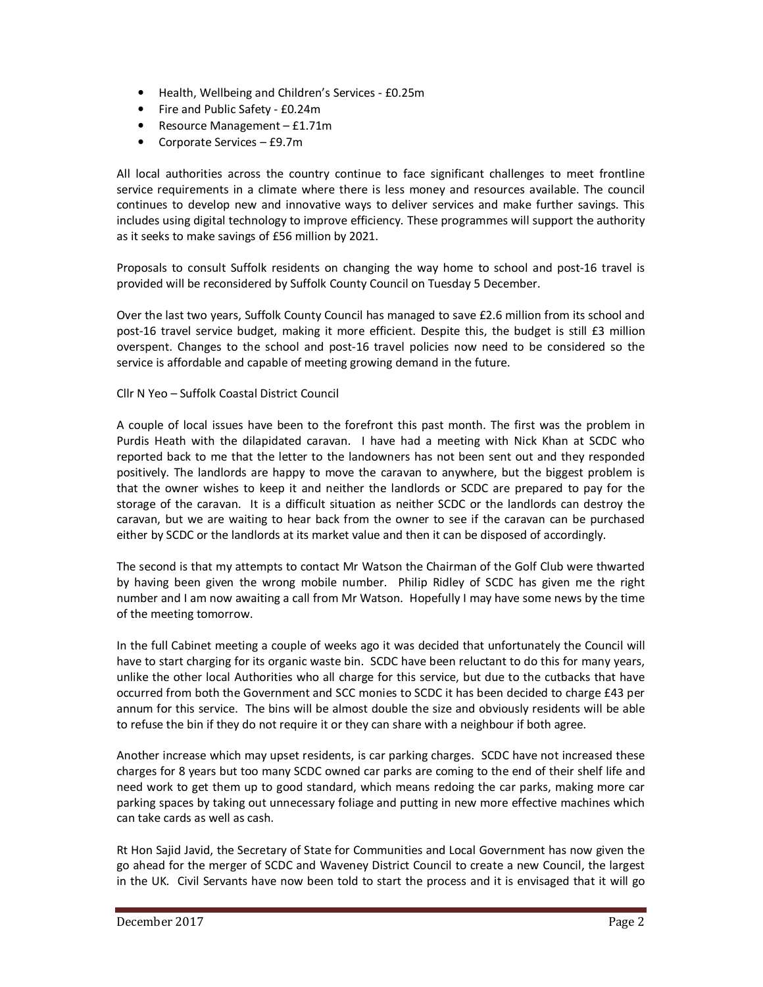- Health, Wellbeing and Children's Services £0.25m
- Fire and Public Safety £0.24m
- Resource Management £1.71m
- Corporate Services £9.7m

All local authorities across the country continue to face significant challenges to meet frontline service requirements in a climate where there is less money and resources available. The council continues to develop new and innovative ways to deliver services and make further savings. This includes using digital technology to improve efficiency. These programmes will support the authority as it seeks to make savings of £56 million by 2021.

Proposals to consult Suffolk residents on changing the way home to school and post-16 travel is provided will be reconsidered by Suffolk County Council on Tuesday 5 December.

Over the last two years, Suffolk County Council has managed to save £2.6 million from its school and post-16 travel service budget, making it more efficient. Despite this, the budget is still £3 million overspent. Changes to the school and post-16 travel policies now need to be considered so the service is affordable and capable of meeting growing demand in the future.

# Cllr N Yeo – Suffolk Coastal District Council

A couple of local issues have been to the forefront this past month. The first was the problem in Purdis Heath with the dilapidated caravan. I have had a meeting with Nick Khan at SCDC who reported back to me that the letter to the landowners has not been sent out and they responded positively. The landlords are happy to move the caravan to anywhere, but the biggest problem is that the owner wishes to keep it and neither the landlords or SCDC are prepared to pay for the storage of the caravan. It is a difficult situation as neither SCDC or the landlords can destroy the caravan, but we are waiting to hear back from the owner to see if the caravan can be purchased either by SCDC or the landlords at its market value and then it can be disposed of accordingly.

The second is that my attempts to contact Mr Watson the Chairman of the Golf Club were thwarted by having been given the wrong mobile number. Philip Ridley of SCDC has given me the right number and I am now awaiting a call from Mr Watson. Hopefully I may have some news by the time of the meeting tomorrow.

In the full Cabinet meeting a couple of weeks ago it was decided that unfortunately the Council will have to start charging for its organic waste bin. SCDC have been reluctant to do this for many years, unlike the other local Authorities who all charge for this service, but due to the cutbacks that have occurred from both the Government and SCC monies to SCDC it has been decided to charge £43 per annum for this service. The bins will be almost double the size and obviously residents will be able to refuse the bin if they do not require it or they can share with a neighbour if both agree.

Another increase which may upset residents, is car parking charges. SCDC have not increased these charges for 8 years but too many SCDC owned car parks are coming to the end of their shelf life and need work to get them up to good standard, which means redoing the car parks, making more car parking spaces by taking out unnecessary foliage and putting in new more effective machines which can take cards as well as cash.

Rt Hon Sajid Javid, the Secretary of State for Communities and Local Government has now given the go ahead for the merger of SCDC and Waveney District Council to create a new Council, the largest in the UK. Civil Servants have now been told to start the process and it is envisaged that it will go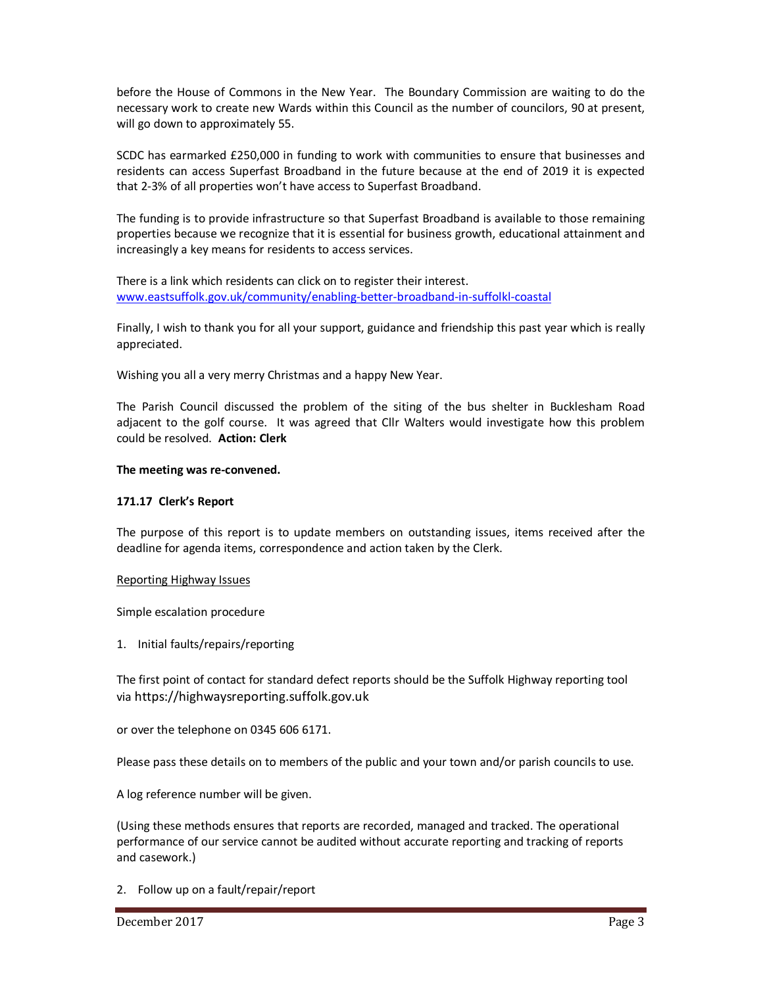before the House of Commons in the New Year. The Boundary Commission are waiting to do the necessary work to create new Wards within this Council as the number of councilors, 90 at present, will go down to approximately 55.

SCDC has earmarked £250,000 in funding to work with communities to ensure that businesses and residents can access Superfast Broadband in the future because at the end of 2019 it is expected that 2-3% of all properties won't have access to Superfast Broadband.

The funding is to provide infrastructure so that Superfast Broadband is available to those remaining properties because we recognize that it is essential for business growth, educational attainment and increasingly a key means for residents to access services.

There is a link which residents can click on to register their interest. www.eastsuffolk.gov.uk/community/enabling-better-broadband-in-suffolkl-coastal

Finally, I wish to thank you for all your support, guidance and friendship this past year which is really appreciated.

Wishing you all a very merry Christmas and a happy New Year.

The Parish Council discussed the problem of the siting of the bus shelter in Bucklesham Road adjacent to the golf course. It was agreed that Cllr Walters would investigate how this problem could be resolved. **Action: Clerk** 

#### **The meeting was re-convened.**

### **171.17 Clerk's Report**

The purpose of this report is to update members on outstanding issues, items received after the deadline for agenda items, correspondence and action taken by the Clerk.

#### Reporting Highway Issues

Simple escalation procedure

1. Initial faults/repairs/reporting

The first point of contact for standard defect reports should be the Suffolk Highway reporting tool via https://highwaysreporting.suffolk.gov.uk

or over the telephone on 0345 606 6171.

Please pass these details on to members of the public and your town and/or parish councils to use.

A log reference number will be given.

(Using these methods ensures that reports are recorded, managed and tracked. The operational performance of our service cannot be audited without accurate reporting and tracking of reports and casework.)

2. Follow up on a fault/repair/report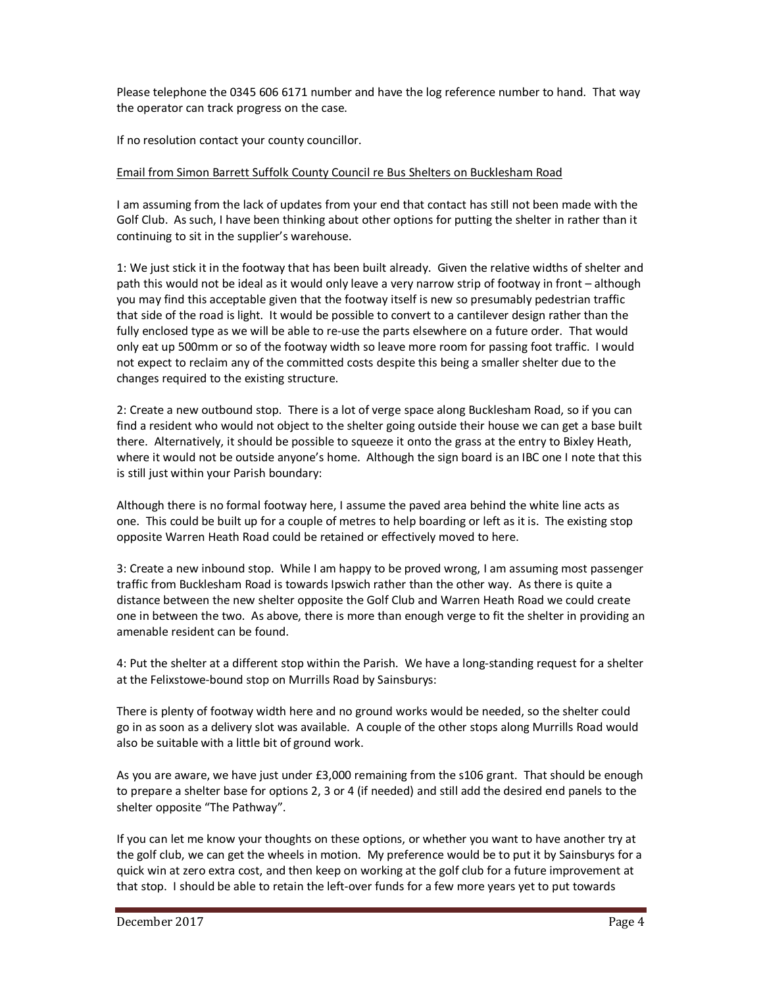Please telephone the 0345 606 6171 number and have the log reference number to hand. That way the operator can track progress on the case.

If no resolution contact your county councillor.

## Email from Simon Barrett Suffolk County Council re Bus Shelters on Bucklesham Road

I am assuming from the lack of updates from your end that contact has still not been made with the Golf Club. As such, I have been thinking about other options for putting the shelter in rather than it continuing to sit in the supplier's warehouse.

1: We just stick it in the footway that has been built already. Given the relative widths of shelter and path this would not be ideal as it would only leave a very narrow strip of footway in front – although you may find this acceptable given that the footway itself is new so presumably pedestrian traffic that side of the road is light. It would be possible to convert to a cantilever design rather than the fully enclosed type as we will be able to re-use the parts elsewhere on a future order. That would only eat up 500mm or so of the footway width so leave more room for passing foot traffic. I would not expect to reclaim any of the committed costs despite this being a smaller shelter due to the changes required to the existing structure.

2: Create a new outbound stop. There is a lot of verge space along Bucklesham Road, so if you can find a resident who would not object to the shelter going outside their house we can get a base built there. Alternatively, it should be possible to squeeze it onto the grass at the entry to Bixley Heath, where it would not be outside anyone's home. Although the sign board is an IBC one I note that this is still just within your Parish boundary:

Although there is no formal footway here, I assume the paved area behind the white line acts as one. This could be built up for a couple of metres to help boarding or left as it is. The existing stop opposite Warren Heath Road could be retained or effectively moved to here.

3: Create a new inbound stop. While I am happy to be proved wrong, I am assuming most passenger traffic from Bucklesham Road is towards Ipswich rather than the other way. As there is quite a distance between the new shelter opposite the Golf Club and Warren Heath Road we could create one in between the two. As above, there is more than enough verge to fit the shelter in providing an amenable resident can be found.

4: Put the shelter at a different stop within the Parish. We have a long-standing request for a shelter at the Felixstowe-bound stop on Murrills Road by Sainsburys:

There is plenty of footway width here and no ground works would be needed, so the shelter could go in as soon as a delivery slot was available. A couple of the other stops along Murrills Road would also be suitable with a little bit of ground work.

As you are aware, we have just under £3,000 remaining from the s106 grant. That should be enough to prepare a shelter base for options 2, 3 or 4 (if needed) and still add the desired end panels to the shelter opposite "The Pathway".

If you can let me know your thoughts on these options, or whether you want to have another try at the golf club, we can get the wheels in motion. My preference would be to put it by Sainsburys for a quick win at zero extra cost, and then keep on working at the golf club for a future improvement at that stop. I should be able to retain the left-over funds for a few more years yet to put towards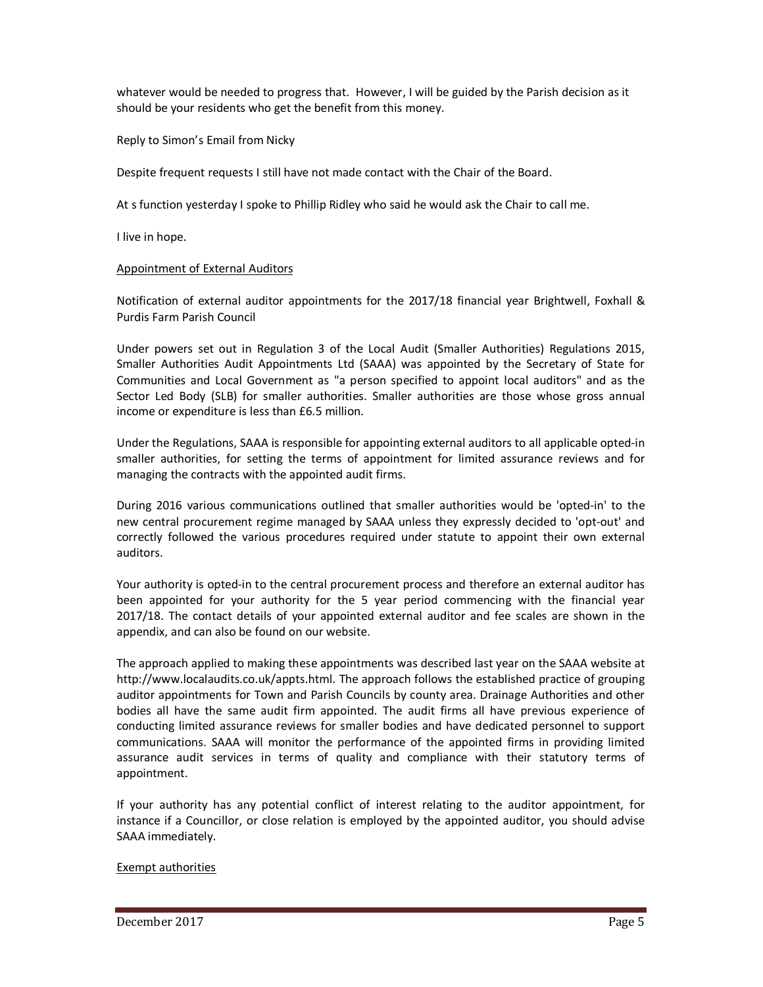whatever would be needed to progress that. However, I will be guided by the Parish decision as it should be your residents who get the benefit from this money.

Reply to Simon's Email from Nicky

Despite frequent requests I still have not made contact with the Chair of the Board.

At s function yesterday I spoke to Phillip Ridley who said he would ask the Chair to call me.

I live in hope.

### Appointment of External Auditors

Notification of external auditor appointments for the 2017/18 financial year Brightwell, Foxhall & Purdis Farm Parish Council

Under powers set out in Regulation 3 of the Local Audit (Smaller Authorities) Regulations 2015, Smaller Authorities Audit Appointments Ltd (SAAA) was appointed by the Secretary of State for Communities and Local Government as "a person specified to appoint local auditors" and as the Sector Led Body (SLB) for smaller authorities. Smaller authorities are those whose gross annual income or expenditure is less than £6.5 million.

Under the Regulations, SAAA is responsible for appointing external auditors to all applicable opted-in smaller authorities, for setting the terms of appointment for limited assurance reviews and for managing the contracts with the appointed audit firms.

During 2016 various communications outlined that smaller authorities would be 'opted-in' to the new central procurement regime managed by SAAA unless they expressly decided to 'opt-out' and correctly followed the various procedures required under statute to appoint their own external auditors.

Your authority is opted-in to the central procurement process and therefore an external auditor has been appointed for your authority for the 5 year period commencing with the financial year 2017/18. The contact details of your appointed external auditor and fee scales are shown in the appendix, and can also be found on our website.

The approach applied to making these appointments was described last year on the SAAA website at http://www.localaudits.co.uk/appts.html. The approach follows the established practice of grouping auditor appointments for Town and Parish Councils by county area. Drainage Authorities and other bodies all have the same audit firm appointed. The audit firms all have previous experience of conducting limited assurance reviews for smaller bodies and have dedicated personnel to support communications. SAAA will monitor the performance of the appointed firms in providing limited assurance audit services in terms of quality and compliance with their statutory terms of appointment.

If your authority has any potential conflict of interest relating to the auditor appointment, for instance if a Councillor, or close relation is employed by the appointed auditor, you should advise SAAA immediately.

### Exempt authorities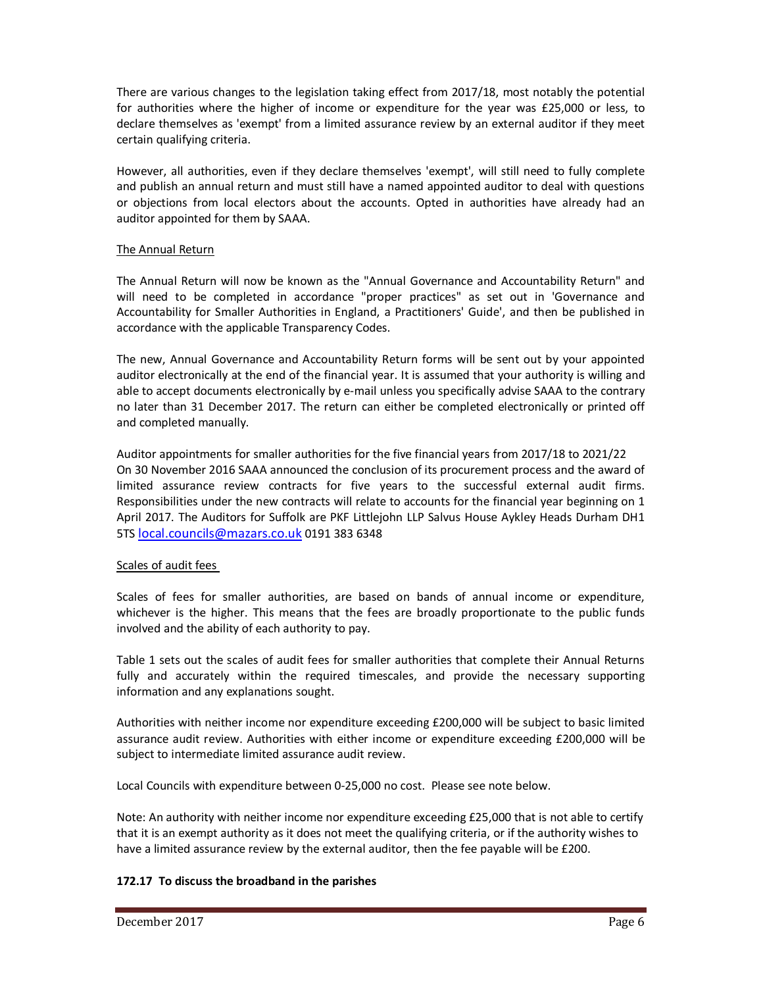There are various changes to the legislation taking effect from 2017/18, most notably the potential for authorities where the higher of income or expenditure for the year was £25,000 or less, to declare themselves as 'exempt' from a limited assurance review by an external auditor if they meet certain qualifying criteria.

However, all authorities, even if they declare themselves 'exempt', will still need to fully complete and publish an annual return and must still have a named appointed auditor to deal with questions or objections from local electors about the accounts. Opted in authorities have already had an auditor appointed for them by SAAA.

## The Annual Return

The Annual Return will now be known as the "Annual Governance and Accountability Return" and will need to be completed in accordance "proper practices" as set out in 'Governance and Accountability for Smaller Authorities in England, a Practitioners' Guide', and then be published in accordance with the applicable Transparency Codes.

The new, Annual Governance and Accountability Return forms will be sent out by your appointed auditor electronically at the end of the financial year. It is assumed that your authority is willing and able to accept documents electronically by e-mail unless you specifically advise SAAA to the contrary no later than 31 December 2017. The return can either be completed electronically or printed off and completed manually.

Auditor appointments for smaller authorities for the five financial years from 2017/18 to 2021/22 On 30 November 2016 SAAA announced the conclusion of its procurement process and the award of limited assurance review contracts for five years to the successful external audit firms. Responsibilities under the new contracts will relate to accounts for the financial year beginning on 1 April 2017. The Auditors for Suffolk are PKF Littlejohn LLP Salvus House Aykley Heads Durham DH1 5TS local.councils@mazars.co.uk 0191 383 6348

### Scales of audit fees

Scales of fees for smaller authorities, are based on bands of annual income or expenditure, whichever is the higher. This means that the fees are broadly proportionate to the public funds involved and the ability of each authority to pay.

Table 1 sets out the scales of audit fees for smaller authorities that complete their Annual Returns fully and accurately within the required timescales, and provide the necessary supporting information and any explanations sought.

Authorities with neither income nor expenditure exceeding £200,000 will be subject to basic limited assurance audit review. Authorities with either income or expenditure exceeding £200,000 will be subject to intermediate limited assurance audit review.

Local Councils with expenditure between 0-25,000 no cost. Please see note below.

Note: An authority with neither income nor expenditure exceeding £25,000 that is not able to certify that it is an exempt authority as it does not meet the qualifying criteria, or if the authority wishes to have a limited assurance review by the external auditor, then the fee payable will be £200.

## **172.17 To discuss the broadband in the parishes**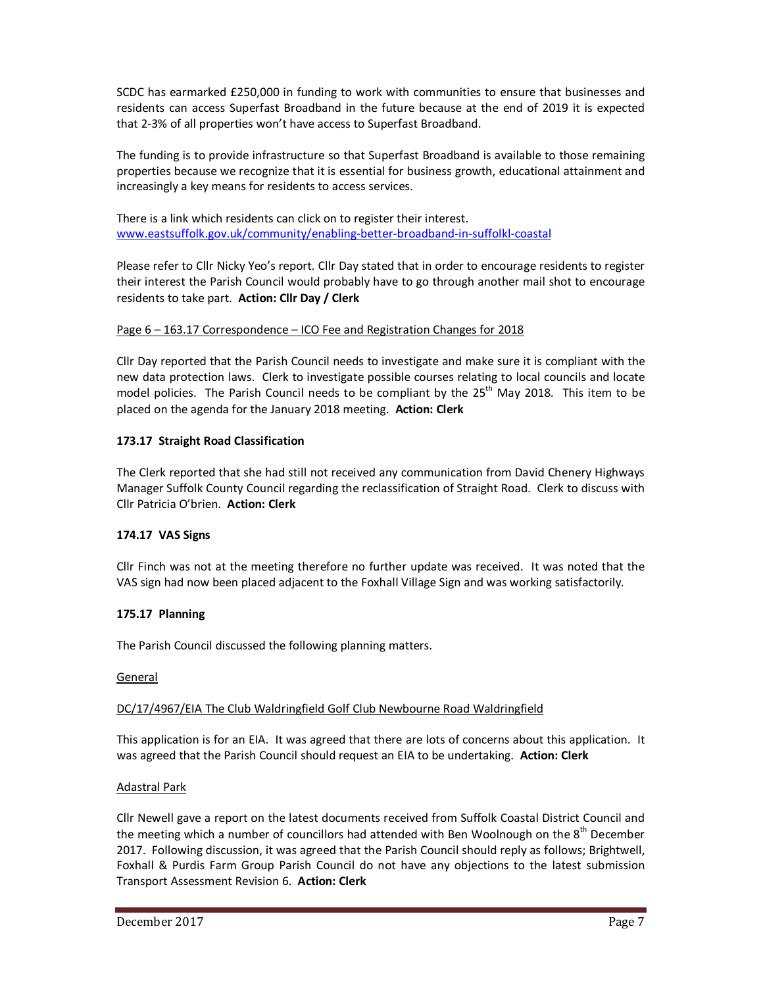SCDC has earmarked £250,000 in funding to work with communities to ensure that businesses and residents can access Superfast Broadband in the future because at the end of 2019 it is expected that 2-3% of all properties won't have access to Superfast Broadband.

The funding is to provide infrastructure so that Superfast Broadband is available to those remaining properties because we recognize that it is essential for business growth, educational attainment and increasingly a key means for residents to access services.

There is a link which residents can click on to register their interest. www.eastsuffolk.gov.uk/community/enabling-better-broadband-in-suffolkl-coastal

Please refer to Cllr Nicky Yeo's report. Cllr Day stated that in order to encourage residents to register their interest the Parish Council would probably have to go through another mail shot to encourage residents to take part. **Action: Cllr Day / Clerk** 

# Page 6 – 163.17 Correspondence – ICO Fee and Registration Changes for 2018

Cllr Day reported that the Parish Council needs to investigate and make sure it is compliant with the new data protection laws. Clerk to investigate possible courses relating to local councils and locate model policies. The Parish Council needs to be compliant by the  $25<sup>th</sup>$  May 2018. This item to be placed on the agenda for the January 2018 meeting. **Action: Clerk** 

# **173.17 Straight Road Classification**

The Clerk reported that she had still not received any communication from David Chenery Highways Manager Suffolk County Council regarding the reclassification of Straight Road. Clerk to discuss with Cllr Patricia O'brien. **Action: Clerk** 

# **174.17 VAS Signs**

Cllr Finch was not at the meeting therefore no further update was received. It was noted that the VAS sign had now been placed adjacent to the Foxhall Village Sign and was working satisfactorily.

## **175.17 Planning**

The Parish Council discussed the following planning matters.

## General

## DC/17/4967/EIA The Club Waldringfield Golf Club Newbourne Road Waldringfield

This application is for an EIA. It was agreed that there are lots of concerns about this application. It was agreed that the Parish Council should request an EIA to be undertaking. **Action: Clerk** 

## Adastral Park

Cllr Newell gave a report on the latest documents received from Suffolk Coastal District Council and the meeting which a number of councillors had attended with Ben Woolnough on the  $8<sup>th</sup>$  December 2017. Following discussion, it was agreed that the Parish Council should reply as follows; Brightwell, Foxhall & Purdis Farm Group Parish Council do not have any objections to the latest submission Transport Assessment Revision 6. **Action: Clerk**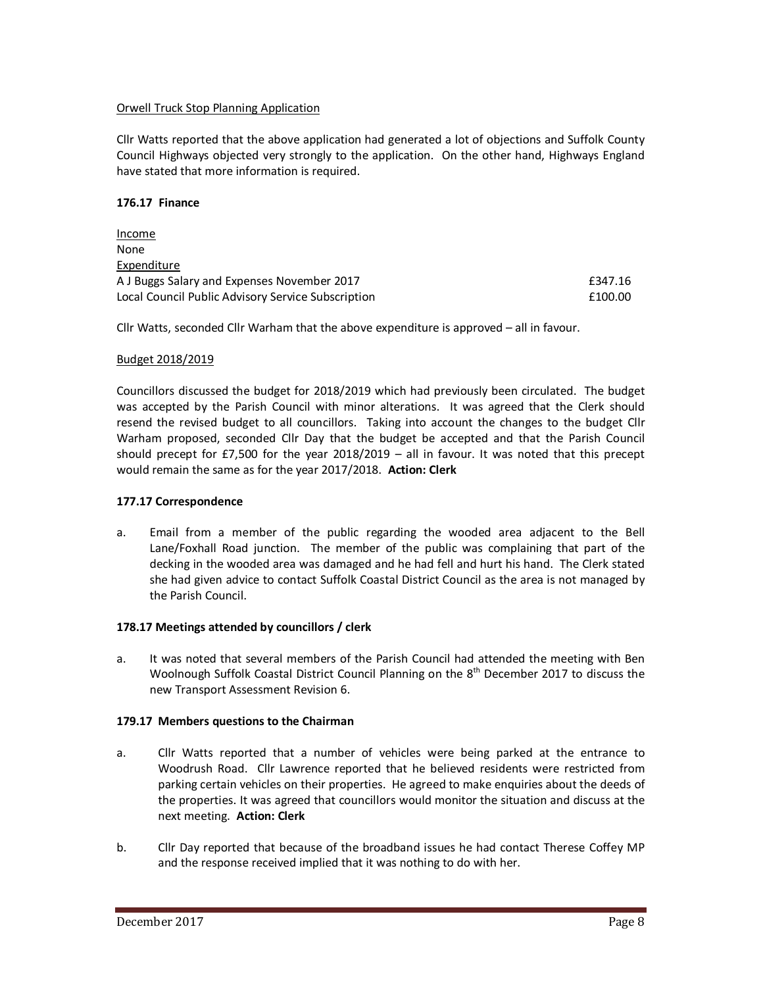## Orwell Truck Stop Planning Application

Cllr Watts reported that the above application had generated a lot of objections and Suffolk County Council Highways objected very strongly to the application. On the other hand, Highways England have stated that more information is required.

## **176.17 Finance**

Income None Expenditure A J Buggs Salary and Expenses November 2017 **E347.16** Local Council Public Advisory Service Subscription £100.00

Cllr Watts, seconded Cllr Warham that the above expenditure is approved – all in favour.

## Budget 2018/2019

Councillors discussed the budget for 2018/2019 which had previously been circulated. The budget was accepted by the Parish Council with minor alterations. It was agreed that the Clerk should resend the revised budget to all councillors. Taking into account the changes to the budget Cllr Warham proposed, seconded Cllr Day that the budget be accepted and that the Parish Council should precept for £7,500 for the year 2018/2019 – all in favour. It was noted that this precept would remain the same as for the year 2017/2018. **Action: Clerk** 

### **177.17 Correspondence**

a. Email from a member of the public regarding the wooded area adjacent to the Bell Lane/Foxhall Road junction. The member of the public was complaining that part of the decking in the wooded area was damaged and he had fell and hurt his hand. The Clerk stated she had given advice to contact Suffolk Coastal District Council as the area is not managed by the Parish Council.

### **178.17 Meetings attended by councillors / clerk**

a. It was noted that several members of the Parish Council had attended the meeting with Ben Woolnough Suffolk Coastal District Council Planning on the  $8<sup>th</sup>$  December 2017 to discuss the new Transport Assessment Revision 6.

## **179.17 Members questions to the Chairman**

- a. Cllr Watts reported that a number of vehicles were being parked at the entrance to Woodrush Road. Cllr Lawrence reported that he believed residents were restricted from parking certain vehicles on their properties. He agreed to make enquiries about the deeds of the properties. It was agreed that councillors would monitor the situation and discuss at the next meeting. **Action: Clerk**
- b. Cllr Day reported that because of the broadband issues he had contact Therese Coffey MP and the response received implied that it was nothing to do with her.